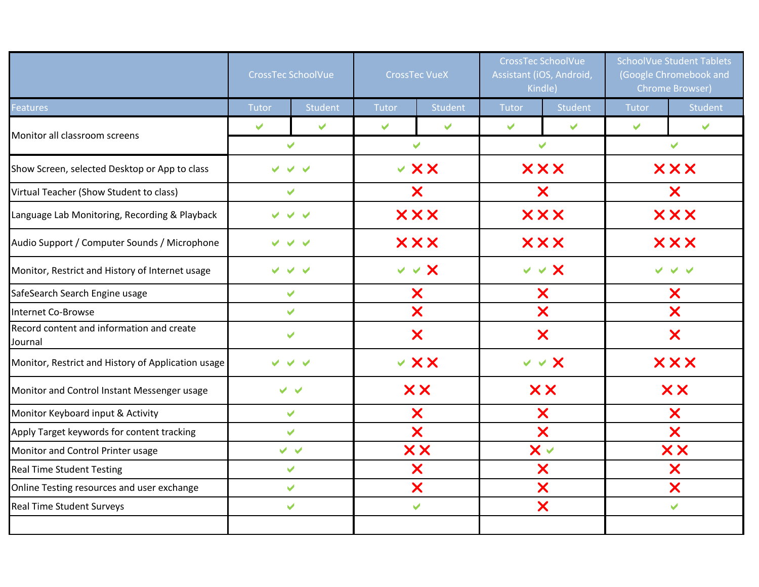|                                                      |                       | <b>CrossTec SchoolVue</b> |              | <b>CrossTec VueX</b>    |                      | <b>CrossTec SchoolVue</b><br>Assistant (iOS, Android,<br>Kindle) |                      | <b>SchoolVue Student Tablets</b><br>(Google Chromebook and<br><b>Chrome Browser)</b> |
|------------------------------------------------------|-----------------------|---------------------------|--------------|-------------------------|----------------------|------------------------------------------------------------------|----------------------|--------------------------------------------------------------------------------------|
| <b>Eeatures</b>                                      | Tutor                 | Student                   | Tutor        | Student                 | Tutor                | <b>Student</b>                                                   | <b>Tutor</b>         | <b>Student</b>                                                                       |
| Monitor all classroom screens                        | V                     | $\blacktriangleright$     | $\checkmark$ | $\overline{\mathbf{v}}$ | $\blacktriangledown$ | $\blacktriangledown$                                             | $\blacktriangledown$ | $\blacktriangleright$                                                                |
|                                                      |                       | $\checkmark$              |              | V                       |                      | $\checkmark$                                                     |                      | V                                                                                    |
| Show Screen, selected Desktop or App to class        |                       |                           |              | $\vee$ XX               |                      | <b>XXX</b>                                                       |                      | <b>XXX</b>                                                                           |
| Virtual Teacher (Show Student to class)              |                       | ✔                         |              | X                       |                      | X                                                                |                      | X                                                                                    |
| Language Lab Monitoring, Recording & Playback        |                       |                           |              | <b>XXX</b>              |                      | <b>XXX</b>                                                       |                      | <b>XXX</b>                                                                           |
| Audio Support / Computer Sounds / Microphone         |                       | $\checkmark$              |              | <b>XXX</b>              |                      | <b>XXX</b>                                                       |                      | <b>XXX</b>                                                                           |
| Monitor, Restrict and History of Internet usage      | ✔                     | $\blacktriangledown$      |              | $v \vee x$              |                      | $v \vee x$                                                       |                      |                                                                                      |
| SafeSearch Search Engine usage                       | V                     |                           | Х            |                         | X                    |                                                                  | X                    |                                                                                      |
| <b>Internet Co-Browse</b>                            |                       | ✔                         |              | X                       |                      | X                                                                |                      | X                                                                                    |
| Record content and information and create<br>Journal |                       | ✔                         |              | X                       |                      | X                                                                |                      | X                                                                                    |
| Monitor, Restrict and History of Application usage   | $\blacktriangleright$ | $\vee$ $\vee$             |              | $\times$ X X            |                      | $\vee$ $\vee$ $\times$                                           |                      | <b>XXX</b>                                                                           |
| Monitor and Control Instant Messenger usage          |                       | $\checkmark$ $\checkmark$ |              | <b>XX</b>               |                      | <b>XX</b>                                                        |                      | <b>XX</b>                                                                            |
| Monitor Keyboard input & Activity                    |                       | V                         |              | X                       |                      | X                                                                |                      | X                                                                                    |
| Apply Target keywords for content tracking           | V                     |                           | X            |                         | X                    |                                                                  | X                    |                                                                                      |
| Monitor and Control Printer usage                    |                       | $\vee$ $\vee$             | <b>XX</b>    |                         | $\mathsf{X}\vee$     |                                                                  | XX                   |                                                                                      |
| <b>Real Time Student Testing</b>                     |                       | $\checkmark$              |              | X                       |                      | X                                                                |                      | X                                                                                    |
| Online Testing resources and user exchange           |                       | ✔                         |              | X                       |                      | X                                                                |                      | X                                                                                    |
| <b>Real Time Student Surveys</b>                     |                       | ✔                         |              | ✓                       |                      | X                                                                |                      | ✔                                                                                    |
|                                                      |                       |                           |              |                         |                      |                                                                  |                      |                                                                                      |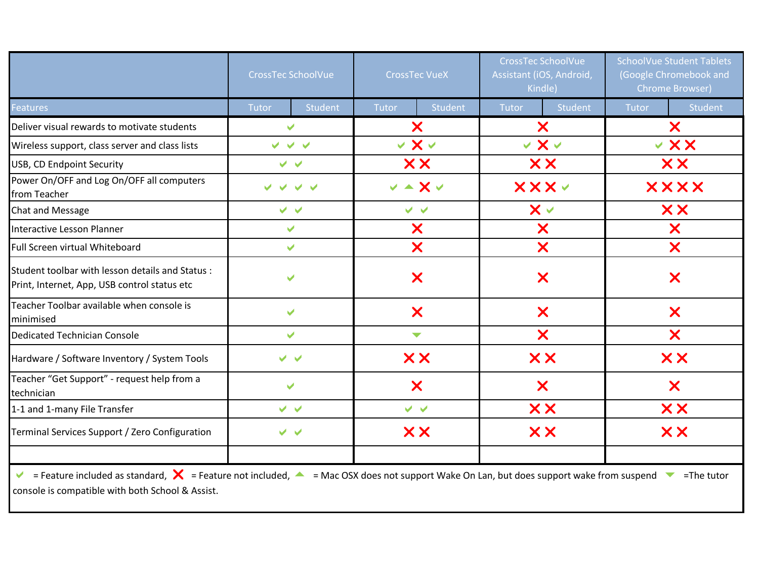|                                                                                                                                                                                  | <b>CrossTec SchoolVue</b><br><b>CrossTec VueX</b> |                      |                      | <b>CrossTec SchoolVue</b><br>Assistant (iOS, Android,<br>Kindle) |                           | <b>SchoolVue Student Tablets</b><br>(Google Chromebook and<br><b>Chrome Browser)</b> |             |           |  |
|----------------------------------------------------------------------------------------------------------------------------------------------------------------------------------|---------------------------------------------------|----------------------|----------------------|------------------------------------------------------------------|---------------------------|--------------------------------------------------------------------------------------|-------------|-----------|--|
| <b>Features</b>                                                                                                                                                                  | Tutor                                             | Student              | Tutor                | Student                                                          | Tutor                     | Student                                                                              | Tutor       | Student   |  |
| Deliver visual rewards to motivate students                                                                                                                                      |                                                   | $\checkmark$         | X                    |                                                                  | $\bm{x}$                  |                                                                                      | X           |           |  |
| Wireless support, class server and class lists                                                                                                                                   |                                                   | $\vee$ $\vee$ $\vee$ | $\vee$ X $\vee$      |                                                                  | $\vee$ X $\vee$           |                                                                                      | ∨ X X       |           |  |
| USB, CD Endpoint Security                                                                                                                                                        |                                                   | $\vee$ $\vee$        | <b>XX</b>            |                                                                  | XX                        |                                                                                      | <b>XX</b>   |           |  |
| Power On/OFF and Log On/OFF all computers<br>from Teacher                                                                                                                        | $\vee$ $\vee$                                     |                      | $v - x v$            |                                                                  | <b>XXXV</b>               |                                                                                      | <b>XXXX</b> |           |  |
| <b>Chat and Message</b>                                                                                                                                                          |                                                   | $\vee$ $\vee$        |                      | $\vee$ $\vee$                                                    |                           | $\times$ $\times$                                                                    |             | <b>XX</b> |  |
| <b>Interactive Lesson Planner</b>                                                                                                                                                |                                                   | $\blacktriangledown$ | X                    |                                                                  | $\bm{x}$                  |                                                                                      | X           |           |  |
| Full Screen virtual Whiteboard                                                                                                                                                   |                                                   | ✔                    | X                    |                                                                  | $\bm{x}$                  |                                                                                      | X           |           |  |
| Student toolbar with lesson details and Status:<br>Print, Internet, App, USB control status etc                                                                                  | $\blacktriangleright$                             |                      | X                    |                                                                  | X                         |                                                                                      | X           |           |  |
| Teacher Toolbar available when console is<br>minimised                                                                                                                           | $\blacktriangledown$                              |                      | $\bm{x}$             |                                                                  | $\boldsymbol{\mathsf{x}}$ |                                                                                      | X           |           |  |
| <b>Dedicated Technician Console</b>                                                                                                                                              | V                                                 |                      | $\blacktriangledown$ |                                                                  | X                         |                                                                                      | X           |           |  |
| Hardware / Software Inventory / System Tools                                                                                                                                     | $\blacktriangleright$<br>$\blacktriangleright$    |                      | <b>XX</b>            |                                                                  | <b>XX</b>                 |                                                                                      | <b>XX</b>   |           |  |
| Teacher "Get Support" - request help from a<br>technician                                                                                                                        | $\blacktriangledown$                              |                      | X                    |                                                                  | X                         |                                                                                      | X           |           |  |
| 1-1 and 1-many File Transfer                                                                                                                                                     |                                                   | $\vee$ $\vee$        | $\vee$ $\vee$        |                                                                  | <b>XX</b>                 |                                                                                      | <b>XX</b>   |           |  |
| Terminal Services Support / Zero Configuration                                                                                                                                   |                                                   | $\vee$ $\vee$        | <b>XX</b>            |                                                                  |                           | <b>XX</b>                                                                            |             | <b>XX</b> |  |
| ► = Feature included as standard, $\mathsf{X}$ = Feature not included, $\blacktriangle$ = Mac OSX does not support Wake On Lan, but does support wake from suspend ► = The tutor |                                                   |                      |                      |                                                                  |                           |                                                                                      |             |           |  |

console is compatible with both School & Assist.